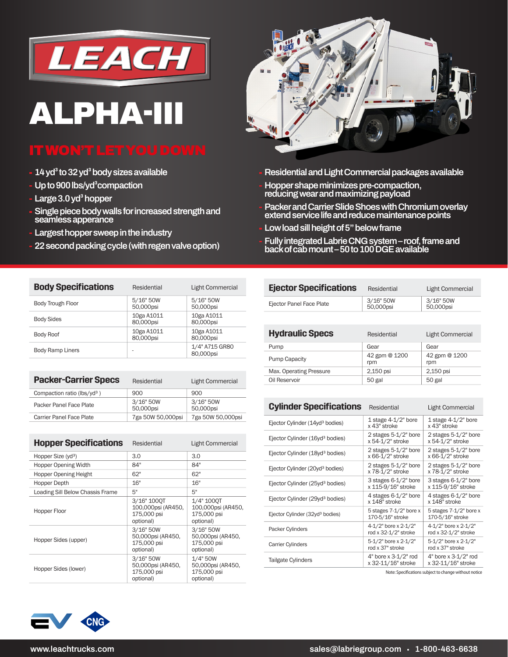

## **ALPHA-III**

- **14 yd<sup>3</sup> to 32 yd<sup>3</sup> body sizes available**
- **Up to 900 lbs/yd³compaction**
- **Large 3.0 yd<sup>3</sup> hopper**
- **Single piece body walls for increased strength and seamless apperance**
- **Largest hopper sweep in the industry**
- **22 second packing cycle (with regen valve option)**



- **Residential and Light Commercial packages available**
- **Hopper shape minimizes pre-compaction, reducing wear and maximizing payload**
- **Packer and Carrier Slide Shoes with Chromium overlay extend service life and reduce maintenance points**
- **Low load sill height of 5" below frame**
- **Fully integrated Labrie CNG system roof, frame and back of cab mount – 50 to 100 DGE available**

| <b>Body Specifications</b> | Residential             | Light Commercial            |  |  |  |
|----------------------------|-------------------------|-----------------------------|--|--|--|
| Body Trough Floor          | 5/16" 50W<br>50,000psi  | 5/16" 50W<br>50,000psi      |  |  |  |
| <b>Body Sides</b>          | 10ga A1011<br>80,000psi | 10ga A1011<br>80,000psi     |  |  |  |
| <b>Body Roof</b>           | 10ga A1011<br>80,000psi | 10ga A1011<br>80,000psi     |  |  |  |
| <b>Body Ramp Liners</b>    |                         | 1/4" A715 GR80<br>80,000psi |  |  |  |

| <b>Packer-Carrier Specs</b>             | Residential            | <b>Light Commercial</b> |  |  |
|-----------------------------------------|------------------------|-------------------------|--|--|
| Compaction ratio (lbs/yd <sup>3</sup> ) | 900                    | 900                     |  |  |
| Packer Panel Face Plate                 | 3/16" 50W<br>50,000psi | 3/16" 50W<br>50,000psi  |  |  |
| <b>Carrier Panel Face Plate</b>         | 7ga 50W 50,000psi      | 7ga 50W 50,000psi       |  |  |

| <b>Hopper Specifications</b>     | Residential                                                   | Light Commercial                                             |  |  |
|----------------------------------|---------------------------------------------------------------|--------------------------------------------------------------|--|--|
| Hopper Size (yd <sup>3</sup> )   | 3.0                                                           | 3.0                                                          |  |  |
| <b>Hopper Opening Width</b>      | 84"                                                           | 84"                                                          |  |  |
| Hopper Opening Height            | 62"                                                           | 62"                                                          |  |  |
| Hopper Depth                     | 16"                                                           | 16"                                                          |  |  |
| Loading Sill Below Chassis Frame | 5"                                                            | 5"                                                           |  |  |
| Hopper Floor                     | 3/16" 1000T<br>100,000psi (AR450,<br>175,000 psi<br>optional) | 1/4" 1000T<br>100,000psi (AR450,<br>175,000 psi<br>optional) |  |  |
| Hopper Sides (upper)             | 3/16" 50W<br>50,000psi (AR450,<br>175,000 psi<br>optional)    | 3/16" 50W<br>50,000psi (AR450,<br>175,000 psi<br>optional)   |  |  |
| Hopper Sides (lower)             | 3/16" 50W<br>50,000psi (AR450,<br>175,000 psi<br>optional)    | 1/4" 50W<br>50,000psi (AR450,<br>175,000 psi<br>optional)    |  |  |



| <b>Hydraulic Specs</b>  | Residential          | <b>Light Commercial</b> |  |  |
|-------------------------|----------------------|-------------------------|--|--|
| Pump                    | Gear                 | Gear                    |  |  |
| <b>Pump Capacity</b>    | 42 gpm @ 1200<br>rpm | 42 gpm @ 1200<br>rpm    |  |  |
| Max. Operating Pressure | 2,150 psi            | 2,150 psi               |  |  |
| Oil Reservoir           | 50 gal               | 50 gal                  |  |  |
|                         |                      |                         |  |  |

| <b>Cylinder Specifications</b>              | Residential                                    | Light Commercial                              |  |  |
|---------------------------------------------|------------------------------------------------|-----------------------------------------------|--|--|
| Ejector Cylinder (14yd <sup>3</sup> bodies) | 1 stage $4-1/2$ " bore<br>x 43" stroke         | 1 stage $4-1/2$ " bore<br>x 43" stroke        |  |  |
| Ejector Cylinder (16yd <sup>3</sup> bodies) | 2 stages 5-1/2" bore<br>x 54-1/2" stroke       | 2 stages 5-1/2" bore<br>x 54-1/2" stroke      |  |  |
| Ejector Cylinder (18yd <sup>3</sup> bodies) | 2 stages 5-1/2" bore<br>x 66-1/2" stroke       | 2 stages 5-1/2" bore<br>x 66-1/2" stroke      |  |  |
| Ejector Cylinder (20yd <sup>3</sup> bodies) | 2 stages 5-1/2" bore<br>x 78-1/2" stroke       | 2 stages 5-1/2" bore<br>x 78-1/2" stroke      |  |  |
| Ejector Cylinder (25yd <sup>3</sup> bodies) | 3 stages 6-1/2" bore<br>x 115-9/16" stroke     | 3 stages 6-1/2" bore<br>x 115-9/16" stroke    |  |  |
| Ejector Cylinder (29yd <sup>3</sup> bodies) | 4 stages 6-1/2" bore<br>x 148" stroke          | 4 stages 6-1/2" bore<br>x 148" stroke         |  |  |
| Ejector Cylinder (32yd <sup>3</sup> bodies) | 5 stages $7-1/2$ " bore x<br>170-5/16" stroke  | 5 stages $7-1/2$ " bore x<br>170-5/16" stroke |  |  |
| Packer Cylinders                            | 4-1/2" bore x 2-1/2"<br>rod x 32-1/2" stroke   | 4-1/2" bore x 2-1/2"<br>rod x 32-1/2" stroke  |  |  |
| Carrier Cylinders                           | 5-1/2" bore x 2-1/2"<br>rod x 37" stroke       | 5-1/2" bore x 2-1/2"<br>rod x 37" stroke      |  |  |
| <b>Tailgate Cylinders</b>                   | $4"$ bore x $3-1/2"$ rod<br>x 32-11/16" stroke | 4" bore x 3-1/2" rod<br>x 32-11/16" stroke    |  |  |

Note: Specifications subject to change without notice